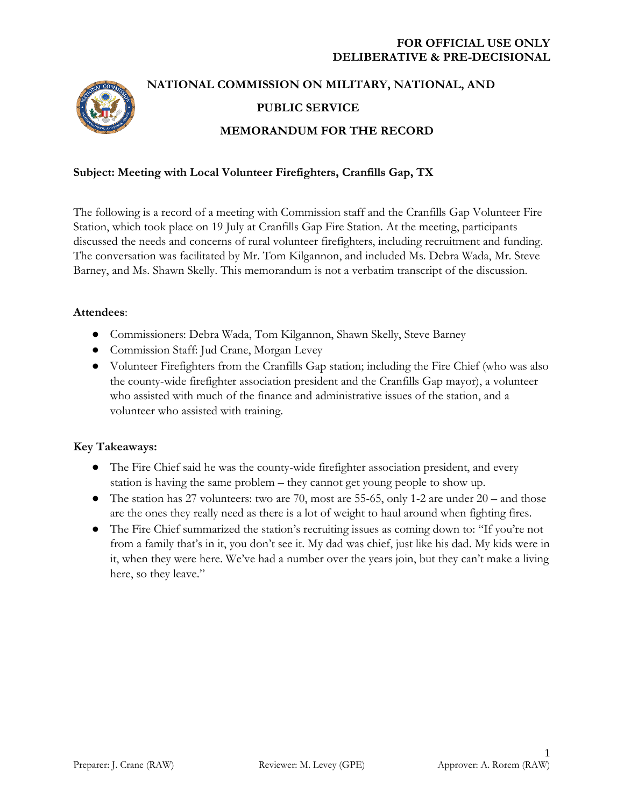

# **NATIONAL COMMISSION ON MILITARY, NATIONAL, AND PUBLIC SERVICE MEMORANDUM FOR THE RECORD**

# **Subject: Meeting with Local Volunteer Firefighters, Cranfills Gap, TX**

The following is a record of a meeting with Commission staff and the Cranfills Gap Volunteer Fire Station, which took place on 19 July at Cranfills Gap Fire Station. At the meeting, participants discussed the needs and concerns of rural volunteer firefighters, including recruitment and funding. The conversation was facilitated by Mr. Tom Kilgannon, and included Ms. Debra Wada, Mr. Steve Barney, and Ms. Shawn Skelly. This memorandum is not a verbatim transcript of the discussion.

## **Attendees**:

- Commissioners: Debra Wada, Tom Kilgannon, Shawn Skelly, Steve Barney
- Commission Staff: Jud Crane, Morgan Levey
- Volunteer Firefighters from the Cranfills Gap station; including the Fire Chief (who was also the county-wide firefighter association president and the Cranfills Gap mayor), a volunteer who assisted with much of the finance and administrative issues of the station, and a volunteer who assisted with training.

## **Key Takeaways:**

- The Fire Chief said he was the county-wide firefighter association president, and every station is having the same problem – they cannot get young people to show up.
- The station has 27 volunteers: two are 70, most are 55-65, only 1-2 are under  $20 -$  and those are the ones they really need as there is a lot of weight to haul around when fighting fires.
- The Fire Chief summarized the station's recruiting issues as coming down to: "If you're not from a family that's in it, you don't see it. My dad was chief, just like his dad. My kids were in it, when they were here. We've had a number over the years join, but they can't make a living here, so they leave."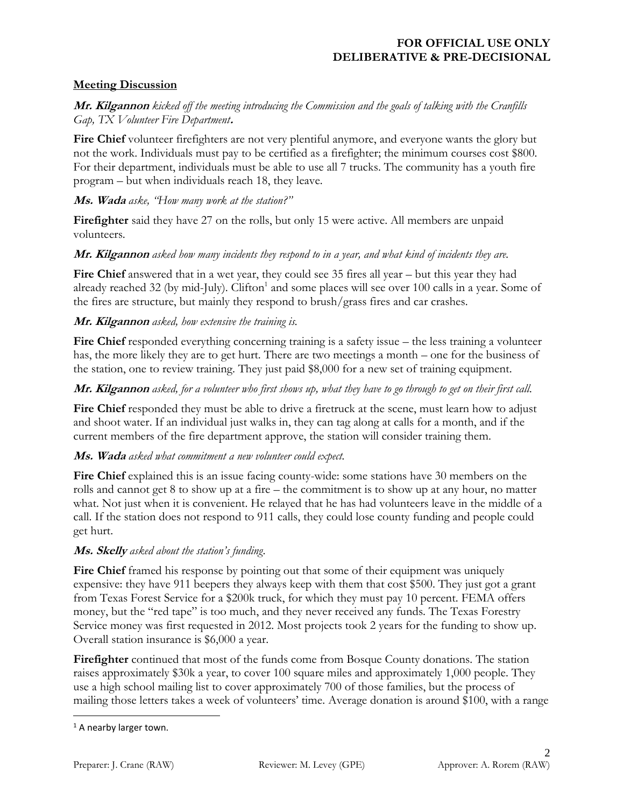## **Meeting Discussion**

## **Mr. Kilgannon** *kicked off the meeting introducing the Commission and the goals of talking with the Cranfills Gap, TX Volunteer Fire Department***.**

**Fire Chief** volunteer firefighters are not very plentiful anymore, and everyone wants the glory but not the work. Individuals must pay to be certified as a firefighter; the minimum courses cost \$800. For their department, individuals must be able to use all 7 trucks. The community has a youth fire program – but when individuals reach 18, they leave.

#### **Ms. Wada** *aske, "How many work at the station?"*

**Firefighter** said they have 27 on the rolls, but only 15 were active. All members are unpaid volunteers.

## **Mr. Kilgannon** *asked how many incidents they respond to in a year, and what kind of incidents they are.*

Fire Chief answered that in a wet year, they could see 35 fires all year – but this year they had already reached 32 (by mid-July). Clifton<sup>1</sup> and some places will see over 100 calls in a year. Some of the fires are structure, but mainly they respond to brush/grass fires and car crashes.

## **Mr. Kilgannon** *asked, how extensive the training is.*

**Fire Chief** responded everything concerning training is a safety issue – the less training a volunteer has, the more likely they are to get hurt. There are two meetings a month – one for the business of the station, one to review training. They just paid \$8,000 for a new set of training equipment.

## **Mr. Kilgannon** *asked, for a volunteer who first shows up, what they have to go through to get on their first call.*

Fire Chief responded they must be able to drive a firetruck at the scene, must learn how to adjust and shoot water. If an individual just walks in, they can tag along at calls for a month, and if the current members of the fire department approve, the station will consider training them.

#### **Ms. Wada** *asked what commitment a new volunteer could expect.*

**Fire Chief** explained this is an issue facing county-wide: some stations have 30 members on the rolls and cannot get 8 to show up at a fire – the commitment is to show up at any hour, no matter what. Not just when it is convenient. He relayed that he has had volunteers leave in the middle of a call. If the station does not respond to 911 calls, they could lose county funding and people could get hurt.

#### **Ms. Skelly** *asked about the station's funding*.

Fire Chief framed his response by pointing out that some of their equipment was uniquely expensive: they have 911 beepers they always keep with them that cost \$500. They just got a grant from Texas Forest Service for a \$200k truck, for which they must pay 10 percent. FEMA offers money, but the "red tape" is too much, and they never received any funds. The Texas Forestry Service money was first requested in 2012. Most projects took 2 years for the funding to show up. Overall station insurance is \$6,000 a year.

**Firefighter** continued that most of the funds come from Bosque County donations. The station raises approximately \$30k a year, to cover 100 square miles and approximately 1,000 people. They use a high school mailing list to cover approximately 700 of those families, but the process of mailing those letters takes a week of volunteers' time. Average donation is around \$100, with a range

 $\overline{\phantom{a}}$ 

<sup>&</sup>lt;sup>1</sup> A nearby larger town.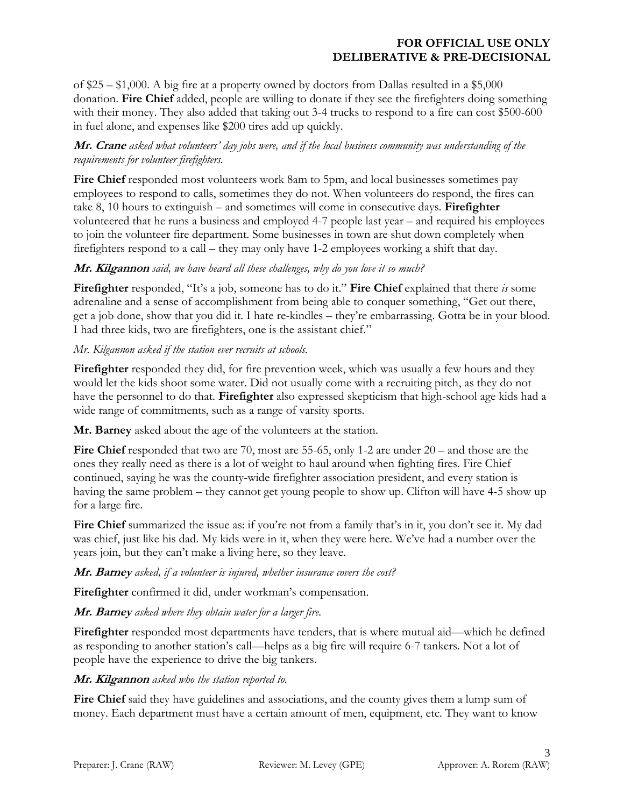of \$25 – \$1,000. A big fire at a property owned by doctors from Dallas resulted in a \$5,000 donation. **Fire Chief** added, people are willing to donate if they see the firefighters doing something with their money. They also added that taking out 3-4 trucks to respond to a fire can cost \$500-600 in fuel alone, and expenses like \$200 tires add up quickly.

# **Mr. Crane** *asked what volunteers' day jobs were, and if the local business community was understanding of the requirements for volunteer firefighters.*

**Fire Chief** responded most volunteers work 8am to 5pm, and local businesses sometimes pay employees to respond to calls, sometimes they do not. When volunteers do respond, the fires can take 8, 10 hours to extinguish – and sometimes will come in consecutive days. **Firefighter** volunteered that he runs a business and employed 4-7 people last year – and required his employees to join the volunteer fire department. Some businesses in town are shut down completely when firefighters respond to a call – they may only have 1-2 employees working a shift that day.

# **Mr. Kilgannon** *said, we have heard all these challenges, why do you love it so much?*

**Firefighter** responded, "It's a job, someone has to do it." **Fire Chief** explained that there *is* some adrenaline and a sense of accomplishment from being able to conquer something, "Get out there, get a job done, show that you did it. I hate re-kindles – they're embarrassing. Gotta be in your blood. I had three kids, two are firefighters, one is the assistant chief."

## *Mr. Kilgannon asked if the station ever recruits at schools.*

Firefighter responded they did, for fire prevention week, which was usually a few hours and they would let the kids shoot some water. Did not usually come with a recruiting pitch, as they do not have the personnel to do that. **Firefighter** also expressed skepticism that high-school age kids had a wide range of commitments, such as a range of varsity sports.

**Mr. Barney** asked about the age of the volunteers at the station.

**Fire Chief** responded that two are 70, most are 55-65, only 1-2 are under 20 – and those are the ones they really need as there is a lot of weight to haul around when fighting fires. Fire Chief continued, saying he was the county-wide firefighter association president, and every station is having the same problem – they cannot get young people to show up. Clifton will have 4-5 show up for a large fire.

**Fire Chief** summarized the issue as: if you're not from a family that's in it, you don't see it. My dad was chief, just like his dad. My kids were in it, when they were here. We've had a number over the years join, but they can't make a living here, so they leave.

## **Mr. Barney** *asked, if a volunteer is injured, whether insurance covers the cost?*

**Firefighter** confirmed it did, under workman's compensation.

**Mr. Barney** *asked where they obtain water for a larger fire.*

**Firefighter** responded most departments have tenders, that is where mutual aid—which he defined as responding to another station's call—helps as a big fire will require 6-7 tankers. Not a lot of people have the experience to drive the big tankers.

# **Mr. Kilgannon** *asked who the station reported to.*

**Fire Chief** said they have guidelines and associations, and the county gives them a lump sum of money. Each department must have a certain amount of men, equipment, etc. They want to know